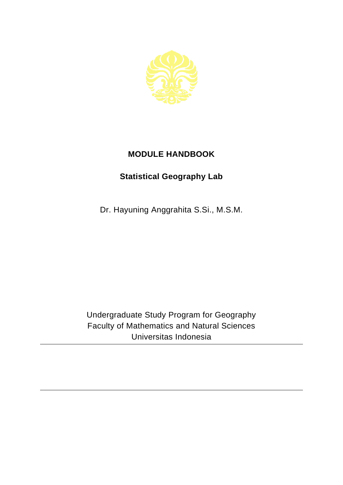

## **MODULE HANDBOOK**

## **Statistical Geography Lab**

Dr. Hayuning Anggrahita S.Si., M.S.M.

Undergraduate Study Program for Geography Faculty of Mathematics and Natural Sciences Universitas Indonesia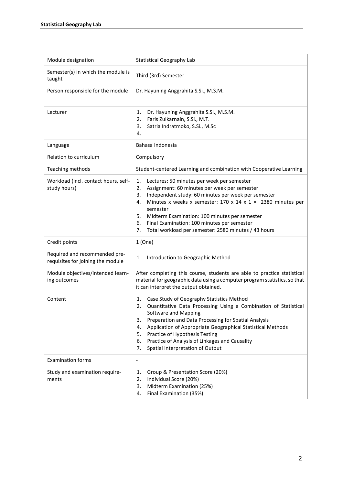| Module designation                                                 | <b>Statistical Geography Lab</b>                                                                                                                                                                                                                                                                                                                                                                                                           |
|--------------------------------------------------------------------|--------------------------------------------------------------------------------------------------------------------------------------------------------------------------------------------------------------------------------------------------------------------------------------------------------------------------------------------------------------------------------------------------------------------------------------------|
| Semester(s) in which the module is<br>taught                       | Third (3rd) Semester                                                                                                                                                                                                                                                                                                                                                                                                                       |
| Person responsible for the module                                  | Dr. Hayuning Anggrahita S.Si., M.S.M.                                                                                                                                                                                                                                                                                                                                                                                                      |
| Lecturer                                                           | Dr. Hayuning Anggrahita S.Si., M.S.M.<br>1.<br>Faris Zulkarnain, S.Si., M.T.<br>2.<br>3.<br>Satria Indratmoko, S.Si., M.Sc<br>4.                                                                                                                                                                                                                                                                                                           |
| Language                                                           | Bahasa Indonesia                                                                                                                                                                                                                                                                                                                                                                                                                           |
| Relation to curriculum                                             | Compulsory                                                                                                                                                                                                                                                                                                                                                                                                                                 |
| Teaching methods                                                   | Student-centered Learning and combination with Cooperative Learning                                                                                                                                                                                                                                                                                                                                                                        |
| Workload (incl. contact hours, self-<br>study hours)               | Lectures: 50 minutes per week per semester<br>1.<br>2.<br>Assignment: 60 minutes per week per semester<br>Independent study: 60 minutes per week per semester<br>3.<br>Minutes x weeks x semester: $170 \times 14 \times 1 = 2380$ minutes per<br>4.<br>semester<br>5.<br>Midterm Examination: 100 minutes per semester<br>Final Examination: 100 minutes per semester<br>6.<br>7.<br>Total workload per semester: 2580 minutes / 43 hours |
| Credit points                                                      | 1(One)                                                                                                                                                                                                                                                                                                                                                                                                                                     |
| Required and recommended pre-<br>requisites for joining the module | 1.<br>Introduction to Geographic Method                                                                                                                                                                                                                                                                                                                                                                                                    |
| Module objectives/intended learn-<br>ing outcomes                  | After completing this course, students are able to practice statistical<br>material for geographic data using a computer program statistics, so that<br>it can interpret the output obtained.                                                                                                                                                                                                                                              |
| Content                                                            | Case Study of Geography Statistics Method<br>1.<br>Quantitative Data Processing Using a Combination of Statistical<br>2.<br>Software and Mapping<br>Preparation and Data Processing for Spatial Analysis<br>3.<br>Application of Appropriate Geographical Statistical Methods<br>4.<br>Practice of Hypothesis Testing<br>5.<br>Practice of Analysis of Linkages and Causality<br>6.<br>Spatial Interpretation of Output<br>7.              |
| <b>Examination forms</b>                                           | $\overline{\phantom{0}}$                                                                                                                                                                                                                                                                                                                                                                                                                   |
| Study and examination require-<br>ments                            | Group & Presentation Score (20%)<br>1.<br>2.<br>Individual Score (20%)<br>3.<br>Midterm Examination (25%)<br>Final Examination (35%)<br>4.                                                                                                                                                                                                                                                                                                 |